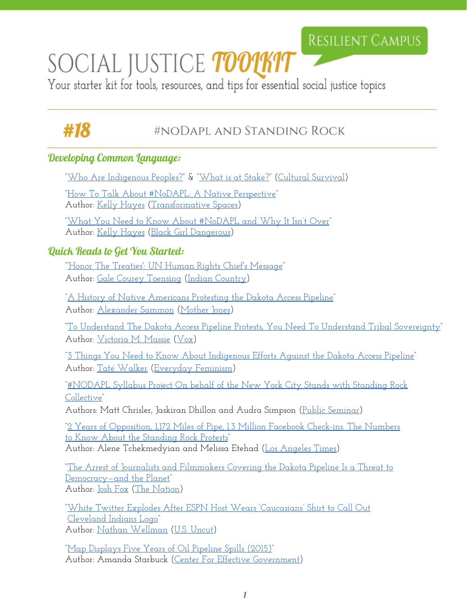## RESILIENT CAMPUS

# SOCIAL JUSTICE *toolkit*

Your starter kit for tools, resources, and tips for essential social justice topics

# #18

### #NODAPL AND STANDING ROCK

#### Developing Common Language:

["Who Are Indigenous Peoples?"](https://www.culturalsurvival.org/who-are-indigenous-peoples) & ["What is at Stake?](https://www.culturalsurvival.org/what-is-at-stake)" ([Cultural Survival\)](https://www.culturalsurvival.org/) ["How To Talk About](https://transformativespaces.org/2016/10/27/how-to-talk-about-nodapl-a-native-perspective/?utm_source=CTZNWELL+Main+List&utm_campaign=913be92956-EMAIL_CAMPAIGN_2016_10_31&utm_medium=email&utm_term=0_e0c09ce884-913be92956-346779505) #NoDAPL: A Native Perspective" Author: [Kelly Hayes](https://twitter.com/mskellymhayes) [\(Transformative](https://transformativespaces.org/) Spaces) ["What You Need to Know About #NoDAPL and](http://www.blackgirldangerous.org/2016/09/nodapl/) Why It Isn't Over" Author: [Kelly Hayes](https://twitter.com/mskellymhayes) (Black [Girl Dangerous](http://www.blackgirldangerous.org/)) Quick Reads to Get You Started: ["'Honor The Treaties': UN](http://indiancountrytodaymedianetwork.com/2013/08/23/honor-treaties-un-human-rights-chiefs-message-150996) Human Rights Chief's Message" Author: [Gale Courey Toensing](http://indiancountrytodaymedianetwork.com/advanced/search?fq[0]=ts_field_full_name%3AGale%20Courey%20Toensing) (Indian [Country](http://indiancountrytodaymedianetwork.com/)) ["A History of Native Americans Protesting the](http://www.motherjones.com/environment/2016/09/dakota-access-pipeline-protest-timeline-sioux-standing-rock-jill-stein?utm_source=CTZNWELL+Main+List&utm_campaign=913be92956-EMAIL_CAMPAIGN_2016_10_31&utm_medium=email&utm_term=0_e0c09ce884-913be92956-346779505) Dakota Access Pipeline" Author: [Alexander Sammon](http://www.motherjones.com/authors/alex-sammon) [\(Mother](http://www.motherjones.com/) Jones) ["To Understand The Dakota](http://www.vox.com/2016/9/9/12851168/dakota-access-pipeline-protest) Access Pipeline Protests, You Need To Understand Tribal Sovereignty" Author: [Victoria M. Massie](http://www.vox.com/authors/victoria-m-massie) ([Vox\)](http://www.vox.com/) "3 Things You Need to [Know About Indigenous Efforts Against](http://everydayfeminism.com/2016/09/dakota-access-pipeline/) the Dakota Access Pipeline" Author: [Taté Walker](http://everydayfeminism.com/author/tatew/) ([Everyday](http://everydayfeminism.com/) Feminism) ["#NODAPL Syllabus Project On](http://www.publicseminar.org/2016/10/nodapl-syllabus-project/#.WBJ5XPorIRl) behalf of the New York City Stands with Standing Rock [Collective"](http://www.publicseminar.org/2016/10/nodapl-syllabus-project/#.WBJ5XPorIRl) Authors: Matt Chrisler, Jaskiran Dhillon and Audra Simpson (Public [Seminar\)](http://www.publicseminar.org/) ["2 Years of Opposition, 1,172 Miles of](http://www.latimes.com/nation/la-na-standing-rock-numbers-20161101-story.html) Pipe, 1.3 Million Facebook Check-ins. The Numbers [to Know About the Standing Rock](http://www.latimes.com/nation/la-na-standing-rock-numbers-20161101-story.html) Protests"

Author: Alene Tchekmedyian and Melissa Etehad [\(Los Angeles](http://www.latimes.com/) Times)

["The Arrest of Journalists and](https://www.thenation.com/article/the-arrest-of-journalists-and-filmmakers-covering-the-dakota-pipeline-is-a-threat-to-democracy-and-the-planet/) Filmmakers Covering the Dakota Pipeline Is a Threat to [Democracy—and the Planet"](https://www.thenation.com/article/the-arrest-of-journalists-and-filmmakers-covering-the-dakota-pipeline-is-a-threat-to-democracy-and-the-planet/) Author: <u>Josh Fox</u> (The [Nation\)](https://www.thenation.com/)

["White Twitter Explodes After](http://usuncut.com/news/cleveland-indians-white-hypocrisy/) ESPN Host Wears 'Caucasians' Shirt to Call Out [Cleveland Indians Logo"](http://usuncut.com/news/cleveland-indians-white-hypocrisy/) Author: [Nathan Wellman](http://usuncut.com/author/nathan/) [\(U.S. Uncut\)](http://usuncut.com/)

["Map Displays Five Years of](http://www.foreffectivegov.org/blog/map-displays-five-years-oil-pipeline-spills) Oil Pipeline Spills (2015)" Author: Amanda Starbuck (Center For Effective [Government\)](http://www.foreffectivegov.org/)